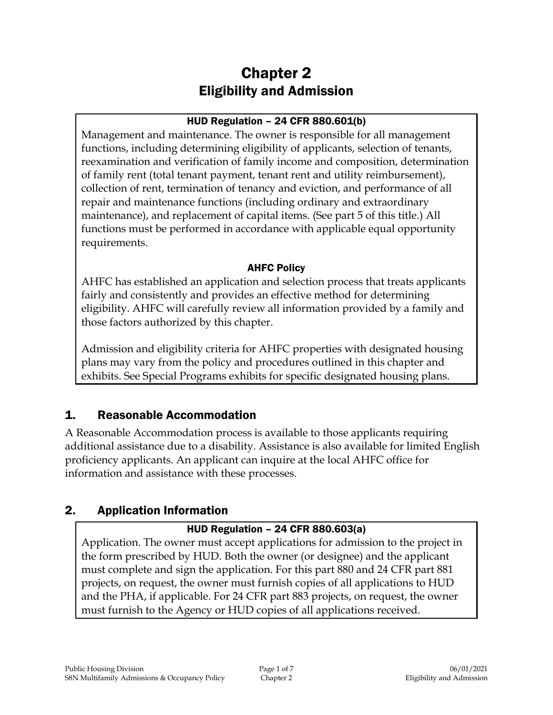# Chapter 2 Eligibility and Admission

#### HUD Regulation – 24 CFR 880.601(b)

Management and maintenance. The owner is responsible for all management functions, including determining eligibility of applicants, selection of tenants, reexamination and verification of family income and composition, determination of family rent (total tenant payment, tenant rent and utility reimbursement), collection of rent, termination of tenancy and eviction, and performance of all repair and maintenance functions (including ordinary and extraordinary maintenance), and replacement of capital items. (See part 5 of this title.) All functions must be performed in accordance with applicable equal opportunity requirements.

#### AHFC Policy

AHFC has established an application and selection process that treats applicants fairly and consistently and provides an effective method for determining eligibility. AHFC will carefully review all information provided by a family and those factors authorized by this chapter.

Admission and eligibility criteria for AHFC properties with designated housing plans may vary from the policy and procedures outlined in this chapter and exhibits. See Special Programs exhibits for specific designated housing plans.

# 1. Reasonable Accommodation

A Reasonable Accommodation process is available to those applicants requiring additional assistance due to a disability. Assistance is also available for limited English proficiency applicants. An applicant can inquire at the local AHFC office for information and assistance with these processes.

# 2. Application Information

### HUD Regulation – 24 CFR 880.603(a)

Application. The owner must accept applications for admission to the project in the form prescribed by HUD. Both the owner (or designee) and the applicant must complete and sign the application. For this part 880 and 24 CFR part 881 projects, on request, the owner must furnish copies of all applications to HUD and the PHA, if applicable. For 24 CFR part 883 projects, on request, the owner must furnish to the Agency or HUD copies of all applications received.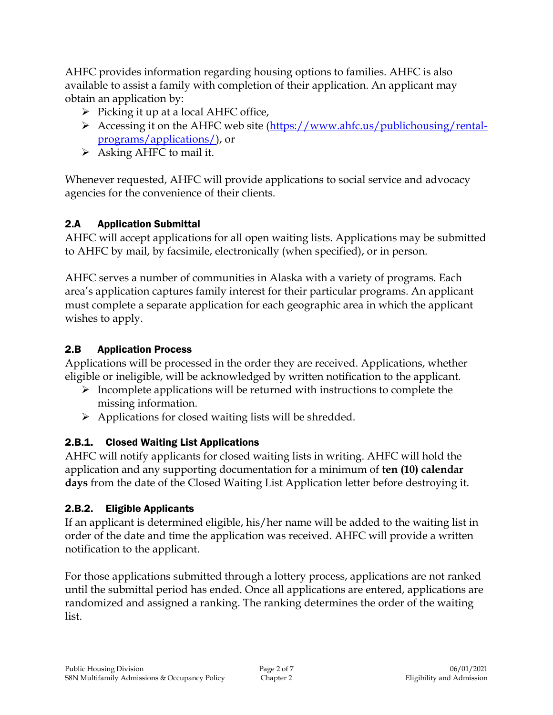AHFC provides information regarding housing options to families. AHFC is also available to assist a family with completion of their application. An applicant may obtain an application by:

- $\triangleright$  Picking it up at a local AHFC office,
- Accessing it on the AHFC web site [\(https://www.ahfc.us/publichousing/rental](https://www.ahfc.us/publichousing/rental-programs/applications/)[programs/applications/\)](https://www.ahfc.us/publichousing/rental-programs/applications/), or
- $\triangleright$  Asking AHFC to mail it.

Whenever requested, AHFC will provide applications to social service and advocacy agencies for the convenience of their clients.

### 2.A Application Submittal

AHFC will accept applications for all open waiting lists. Applications may be submitted to AHFC by mail, by facsimile, electronically (when specified), or in person.

AHFC serves a number of communities in Alaska with a variety of programs. Each area's application captures family interest for their particular programs. An applicant must complete a separate application for each geographic area in which the applicant wishes to apply.

### 2.B Application Process

Applications will be processed in the order they are received. Applications, whether eligible or ineligible, will be acknowledged by written notification to the applicant.

- $\triangleright$  Incomplete applications will be returned with instructions to complete the missing information.
- $\triangleright$  Applications for closed waiting lists will be shredded.

# 2.B.1. Closed Waiting List Applications

AHFC will notify applicants for closed waiting lists in writing. AHFC will hold the application and any supporting documentation for a minimum of **ten (10) calendar days** from the date of the Closed Waiting List Application letter before destroying it.

# 2.B.2. Eligible Applicants

If an applicant is determined eligible, his/her name will be added to the waiting list in order of the date and time the application was received. AHFC will provide a written notification to the applicant.

For those applications submitted through a lottery process, applications are not ranked until the submittal period has ended. Once all applications are entered, applications are randomized and assigned a ranking. The ranking determines the order of the waiting list.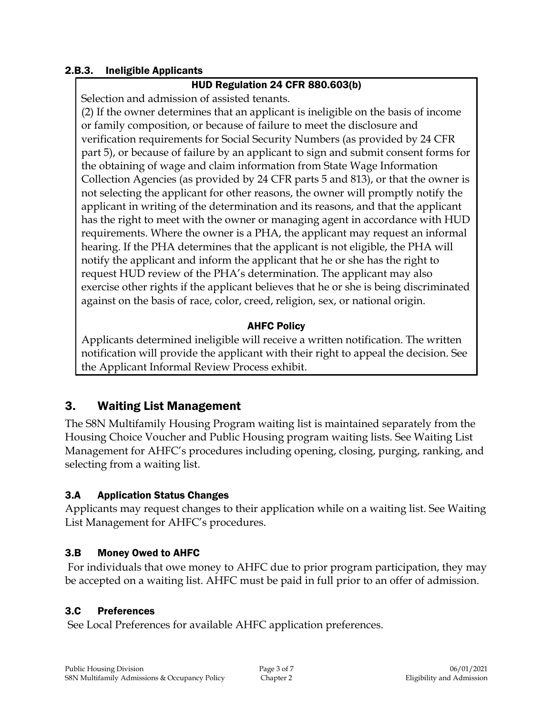#### 2.B.3. Ineligible Applicants

#### HUD Regulation 24 CFR 880.603(b)

Selection and admission of assisted tenants.

(2) If the owner determines that an applicant is ineligible on the basis of income or family composition, or because of failure to meet the disclosure and verification requirements for Social Security Numbers (as provided by 24 CFR part 5), or because of failure by an applicant to sign and submit consent forms for the obtaining of wage and claim information from State Wage Information Collection Agencies (as provided by 24 CFR parts 5 and 813), or that the owner is not selecting the applicant for other reasons, the owner will promptly notify the applicant in writing of the determination and its reasons, and that the applicant has the right to meet with the owner or managing agent in accordance with HUD requirements. Where the owner is a PHA, the applicant may request an informal hearing. If the PHA determines that the applicant is not eligible, the PHA will notify the applicant and inform the applicant that he or she has the right to request HUD review of the PHA's determination. The applicant may also exercise other rights if the applicant believes that he or she is being discriminated against on the basis of race, color, creed, religion, sex, or national origin.

#### AHFC Policy

Applicants determined ineligible will receive a written notification. The written notification will provide the applicant with their right to appeal the decision. See the Applicant Informal Review Process exhibit.

### 3. Waiting List Management

The S8N Multifamily Housing Program waiting list is maintained separately from the Housing Choice Voucher and Public Housing program waiting lists. See Waiting List Management for AHFC's procedures including opening, closing, purging, ranking, and selecting from a waiting list.

#### 3.A Application Status Changes

Applicants may request changes to their application while on a waiting list. See Waiting List Management for AHFC's procedures.

#### 3.B Money Owed to AHFC

For individuals that owe money to AHFC due to prior program participation, they may be accepted on a waiting list. AHFC must be paid in full prior to an offer of admission.

#### 3.C Preferences

See Local Preferences for available AHFC application preferences.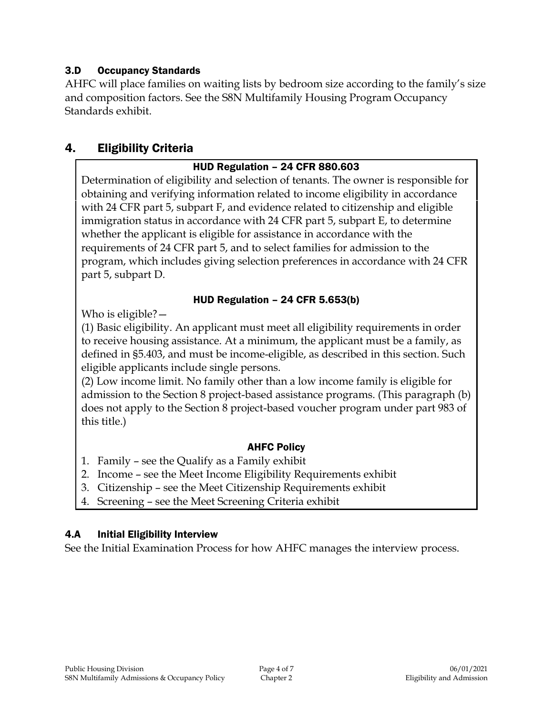#### 3.D Occupancy Standards

AHFC will place families on waiting lists by bedroom size according to the family's size and composition factors. See the S8N Multifamily Housing Program Occupancy Standards exhibit.

### 4. Eligibility Criteria

#### HUD Regulation – 24 CFR 880.603

Determination of eligibility and selection of tenants. The owner is responsible for obtaining and verifying information related to income eligibility in accordance with 24 CFR part 5, subpart F, and evidence related to citizenship and eligible immigration status in accordance with 24 CFR part 5, subpart E, to determine whether the applicant is eligible for assistance in accordance with the requirements of 24 CFR part 5, and to select families for admission to the program, which includes giving selection preferences in accordance with 24 CFR part 5, subpart D.

#### HUD Regulation – 24 CFR 5.653(b)

Who is eligible? —

(1) Basic eligibility. An applicant must meet all eligibility requirements in order to receive housing assistance. At a minimum, the applicant must be a family, as defined in §5.403, and must be income-eligible, as described in this section. Such eligible applicants include single persons.

(2) Low income limit. No family other than a low income family is eligible for admission to the Section 8 project-based assistance programs. (This paragraph (b) does not apply to the Section 8 project-based voucher program under part 983 of this title.)

#### AHFC Policy

- 1. Family see the Qualify as a Family exhibit
- 2. Income see the Meet Income Eligibility Requirements exhibit
- 3. Citizenship see the Meet Citizenship Requirements exhibit
- 4. Screening see the Meet Screening Criteria exhibit

#### 4.A Initial Eligibility Interview

See the Initial Examination Process for how AHFC manages the interview process.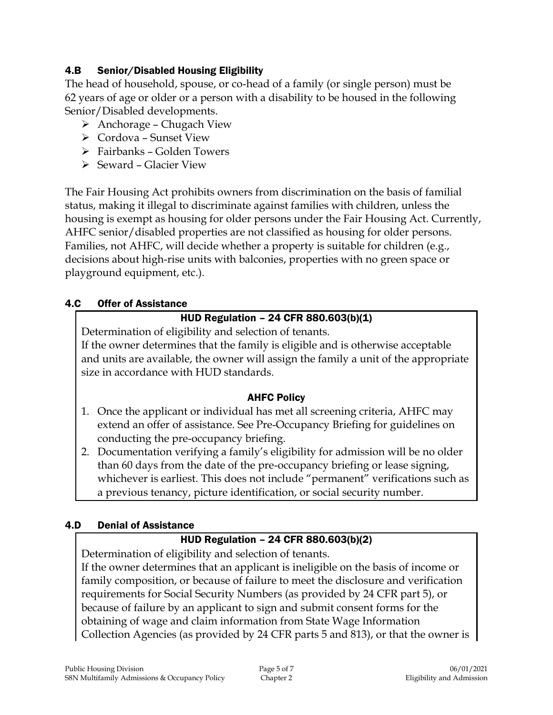#### 4.B Senior/Disabled Housing Eligibility

The head of household, spouse, or co-head of a family (or single person) must be 62 years of age or older or a person with a disability to be housed in the following Senior/Disabled developments.

- $\triangleright$  Anchorage Chugach View
- Cordova Sunset View
- Fairbanks Golden Towers
- $\triangleright$  Seward Glacier View

The Fair Housing Act prohibits owners from discrimination on the basis of familial status, making it illegal to discriminate against families with children, unless the housing is exempt as housing for older persons under the Fair Housing Act. Currently, AHFC senior/disabled properties are not classified as housing for older persons. Families, not AHFC, will decide whether a property is suitable for children (e.g., decisions about high-rise units with balconies, properties with no green space or playground equipment, etc.).

#### 4.C Offer of Assistance

#### HUD Regulation – 24 CFR 880.603(b)(1)

Determination of eligibility and selection of tenants.

If the owner determines that the family is eligible and is otherwise acceptable and units are available, the owner will assign the family a unit of the appropriate size in accordance with HUD standards.

#### AHFC Policy

- 1. Once the applicant or individual has met all screening criteria, AHFC may extend an offer of assistance. See Pre-Occupancy Briefing for guidelines on conducting the pre-occupancy briefing.
- 2. Documentation verifying a family's eligibility for admission will be no older than 60 days from the date of the pre-occupancy briefing or lease signing, whichever is earliest. This does not include "permanent" verifications such as a previous tenancy, picture identification, or social security number.

#### 4.D Denial of Assistance

#### HUD Regulation – 24 CFR 880.603(b)(2)

Determination of eligibility and selection of tenants.

If the owner determines that an applicant is ineligible on the basis of income or family composition, or because of failure to meet the disclosure and verification requirements for Social Security Numbers (as provided by 24 CFR part 5), or because of failure by an applicant to sign and submit consent forms for the obtaining of wage and claim information from State Wage Information Collection Agencies (as provided by 24 CFR parts 5 and 813), or that the owner is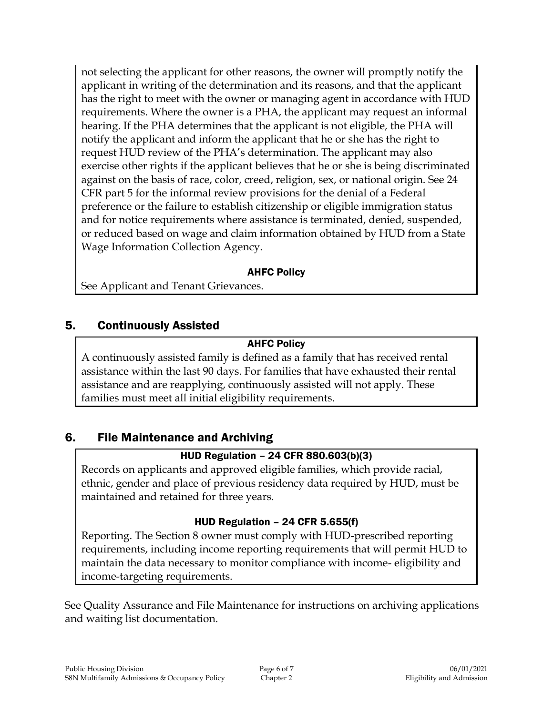not selecting the applicant for other reasons, the owner will promptly notify the applicant in writing of the determination and its reasons, and that the applicant has the right to meet with the owner or managing agent in accordance with HUD requirements. Where the owner is a PHA, the applicant may request an informal hearing. If the PHA determines that the applicant is not eligible, the PHA will notify the applicant and inform the applicant that he or she has the right to request HUD review of the PHA's determination. The applicant may also exercise other rights if the applicant believes that he or she is being discriminated against on the basis of race, color, creed, religion, sex, or national origin. See 24 CFR part 5 for the informal review provisions for the denial of a Federal preference or the failure to establish citizenship or eligible immigration status and for notice requirements where assistance is terminated, denied, suspended, or reduced based on wage and claim information obtained by HUD from a State Wage Information Collection Agency.

#### AHFC Policy

See Applicant and Tenant Grievances.

# 5. Continuously Assisted

### AHFC Policy

A continuously assisted family is defined as a family that has received rental assistance within the last 90 days. For families that have exhausted their rental assistance and are reapplying, continuously assisted will not apply. These families must meet all initial eligibility requirements.

# 6. File Maintenance and Archiving

# HUD Regulation – 24 CFR 880.603(b)(3)

Records on applicants and approved eligible families, which provide racial, ethnic, gender and place of previous residency data required by HUD, must be maintained and retained for three years.

# HUD Regulation – 24 CFR 5.655(f)

Reporting. The Section 8 owner must comply with HUD-prescribed reporting requirements, including income reporting requirements that will permit HUD to maintain the data necessary to monitor compliance with income- eligibility and income-targeting requirements.

See Quality Assurance and File Maintenance for instructions on archiving applications and waiting list documentation.